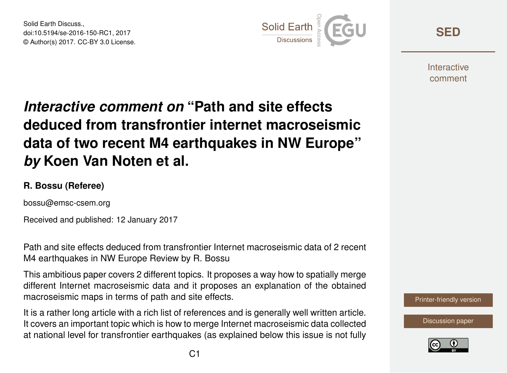Solid Earth Discuss., doi:10.5194/se-2016-150-RC1, 2017 © Author(s) 2017. CC-BY 3.0 License.



**[SED](http://www.solid-earth-discuss.net/)**

**Interactive** comment

## *Interactive comment on* **"Path and site effects deduced from transfrontier internet macroseismic data of two recent M4 earthquakes in NW Europe"** *by* **Koen Van Noten et al.**

## **R. Bossu (Referee)**

bossu@emsc-csem.org

Received and published: 12 January 2017

Path and site effects deduced from transfrontier Internet macroseismic data of 2 recent M4 earthquakes in NW Europe Review by R. Bossu

This ambitious paper covers 2 different topics. It proposes a way how to spatially merge different Internet macroseismic data and it proposes an explanation of the obtained macroseismic maps in terms of path and site effects.

It is a rather long article with a rich list of references and is generally well written article. It covers an important topic which is how to merge Internet macroseismic data collected at national level for transfrontier earthquakes (as explained below this issue is not fully



[Discussion paper](http://www.solid-earth-discuss.net/se-2016-150)

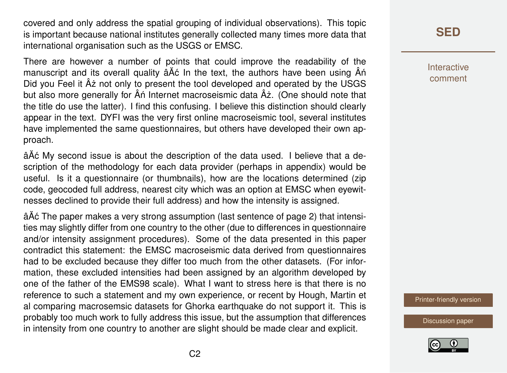covered and only address the spatial grouping of individual observations). This topic is important because national institutes generally collected many times more data that international organisation such as the USGS or EMSC.

There are however a number of points that could improve the readability of the manuscript and its overall quality  $\hat{a}$  A $\hat{c}$  In the text, the authors have been using  $\hat{A}$ n´ Did you Feel it  $\hat{A}$ z not only to present the tool developed and operated by the USGS but also more generally for  $\hat{A}$ n Internet macroseismic data  $\hat{A}$ ż. (One should note that the title do use the latter). I find this confusing. I believe this distinction should clearly appear in the text. DYFI was the very first online macroseismic tool, several institutes have implemented the same questionnaires, but others have developed their own approach.

âAٌ c My second issue is about the description of the data used. I believe that a description of the methodology for each data provider (perhaps in appendix) would be useful. Is it a questionnaire (or thumbnails), how are the locations determined (zip code, geocoded full address, nearest city which was an option at EMSC when eyewitnesses declined to provide their full address) and how the intensity is assigned.

â $\tilde{A}$ ć The paper makes a very strong assumption (last sentence of page 2) that intensities may slightly differ from one country to the other (due to differences in questionnaire and/or intensity assignment procedures). Some of the data presented in this paper contradict this statement: the EMSC macroseismic data derived from questionnaires had to be excluded because they differ too much from the other datasets. (For information, these excluded intensities had been assigned by an algorithm developed by one of the father of the EMS98 scale). What I want to stress here is that there is no reference to such a statement and my own experience, or recent by Hough, Martin et al comparing macrosemsic datasets for Ghorka earthquake do not support it. This is probably too much work to fully address this issue, but the assumption that differences in intensity from one country to another are slight should be made clear and explicit.

**[SED](http://www.solid-earth-discuss.net/)**

Interactive comment

[Printer-friendly version](http://www.solid-earth-discuss.net/se-2016-150/se-2016-150-RC1-print.pdf)

[Discussion paper](http://www.solid-earth-discuss.net/se-2016-150)